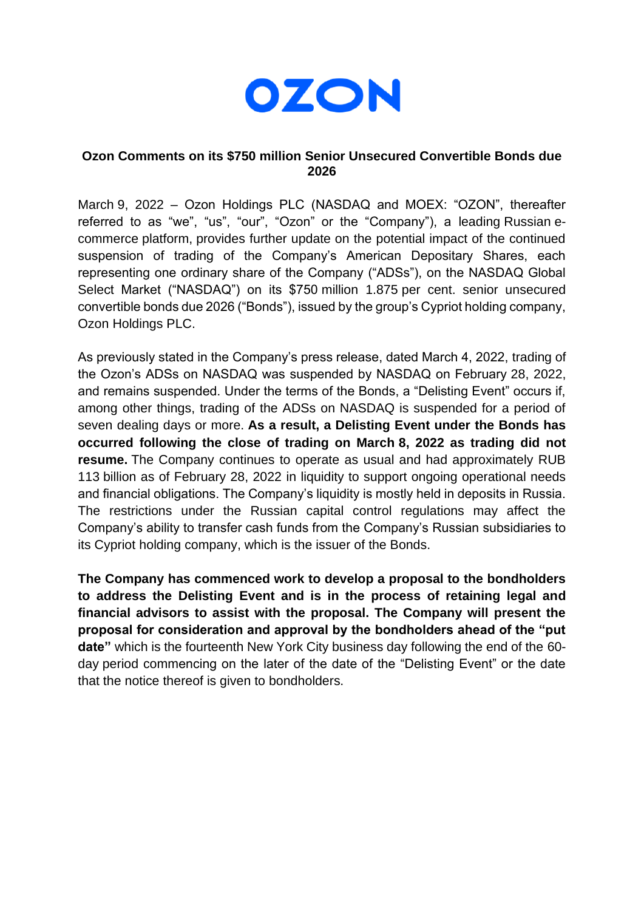

## **Ozon Comments on its \$750 million Senior Unsecured Convertible Bonds due 2026**

March 9, 2022 – Ozon Holdings PLC (NASDAQ and MOEX: "OZON", thereafter referred to as "we", "us", "our", "Ozon" or the "Company"), a leading Russian ecommerce platform, provides further update on the potential impact of the continued suspension of trading of the Company's American Depositary Shares, each representing one ordinary share of the Company ("ADSs"), on the NASDAQ Global Select Market ("NASDAQ") on its \$750 million 1.875 per cent. senior unsecured convertible bonds due 2026 ("Bonds"), issued by the group's Cypriot holding company, Ozon Holdings PLC.

As previously stated in the Company's press release, dated March 4, 2022, trading of the Ozon's ADSs on NASDAQ was suspended by NASDAQ on February 28, 2022, and remains suspended. Under the terms of the Bonds, a "Delisting Event" occurs if, among other things, trading of the ADSs on NASDAQ is suspended for a period of seven dealing days or more. **As a result, a Delisting Event under the Bonds has occurred following the close of trading on March 8, 2022 as trading did not resume.** The Company continues to operate as usual and had approximately RUB 113 billion as of February 28, 2022 in liquidity to support ongoing operational needs and financial obligations. The Company's liquidity is mostly held in deposits in Russia. The restrictions under the Russian capital control regulations may affect the Company's ability to transfer cash funds from the Company's Russian subsidiaries to its Cypriot holding company, which is the issuer of the Bonds.

**The Company has commenced work to develop a proposal to the bondholders to address the Delisting Event and is in the process of retaining legal and financial advisors to assist with the proposal. The Company will present the proposal for consideration and approval by the bondholders ahead of the "put date"** which is the fourteenth New York City business day following the end of the 60 day period commencing on the later of the date of the "Delisting Event" or the date that the notice thereof is given to bondholders.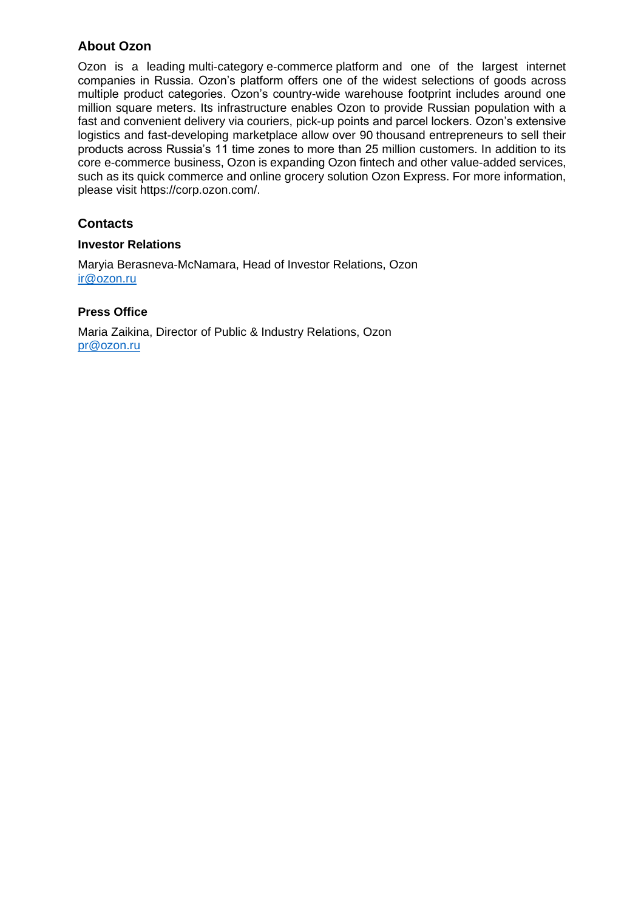# **About Ozon**

Ozon is a leading multi-category e-commerce platform and one of the largest internet companies in Russia. Ozon's platform offers one of the widest selections of goods across multiple product categories. Ozon's country-wide warehouse footprint includes around one million square meters. Its infrastructure enables Ozon to provide Russian population with a fast and convenient delivery via couriers, pick-up points and parcel lockers. Ozon's extensive logistics and fast-developing marketplace allow over 90 thousand entrepreneurs to sell their products across Russia's 11 time zones to more than 25 million customers. In addition to its core e-commerce business, Ozon is expanding Ozon fintech and other value-added services, such as its quick commerce and online grocery solution Ozon Express. For more information, please visit https://corp.ozon.com/.

### **Contacts**

#### **Investor Relations**

Maryia Berasneva-McNamara, Head of Investor Relations, Ozon [ir@ozon.ru](mailto:ir@ozon.ru)

### **Press Office**

Maria Zaikina, Director of Public & Industry Relations, Ozon [pr@ozon.ru](mailto:pr@ozon.ru)